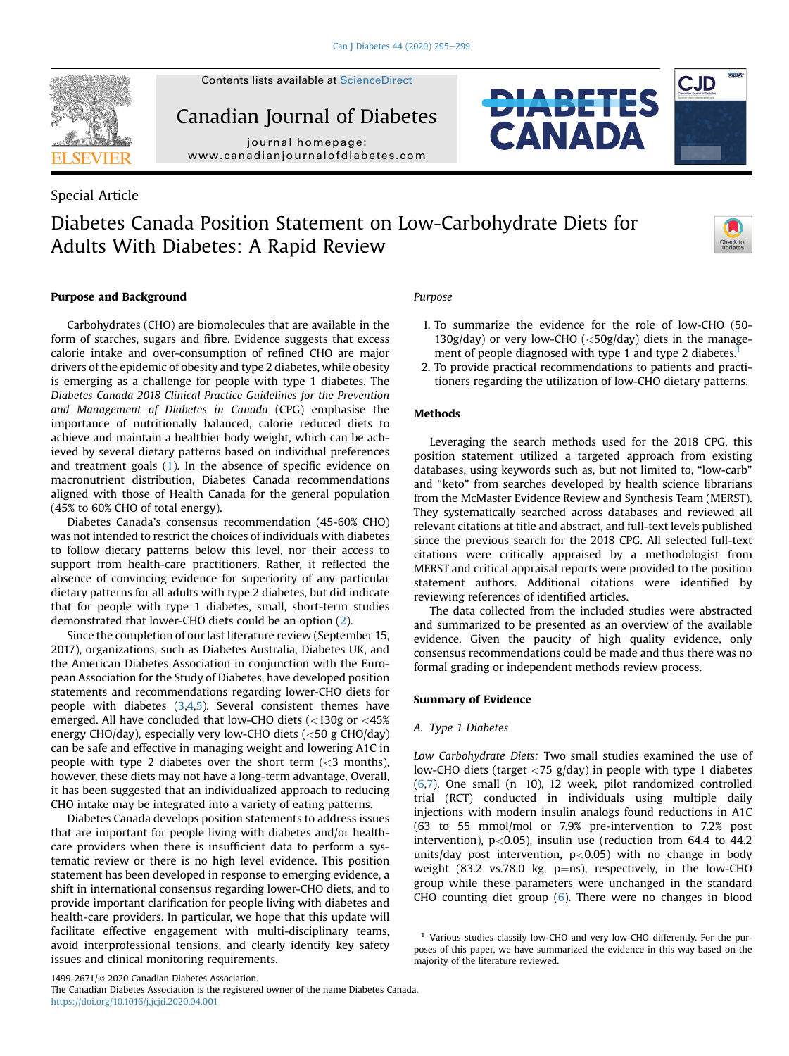

Contents lists available at [ScienceDirect](www.sciencedirect.com/science/journal/14992671)

Canadian Journal of Diabetes

journal homepage: [www.canadianjournalofdiabetes.com](http://www.canadianjournalofdiabetes.com)

## Special Article

# Diabetes Canada Position Statement on Low-Carbohydrate Diets for Adults With Diabetes: A Rapid Review



**CJD** 

## Purpose and Background

Carbohydrates (CHO) are biomolecules that are available in the form of starches, sugars and fibre. Evidence suggests that excess calorie intake and over-consumption of refined CHO are major drivers of the epidemic of obesity and type 2 diabetes, while obesity is emerging as a challenge for people with type 1 diabetes. The Diabetes Canada 2018 Clinical Practice Guidelines for the Prevention and Management of Diabetes in Canada (CPG) emphasise the importance of nutritionally balanced, calorie reduced diets to achieve and maintain a healthier body weight, which can be achieved by several dietary patterns based on individual preferences and treatment goals ([1](#page-3-0)). In the absence of specific evidence on macronutrient distribution, Diabetes Canada recommendations aligned with those of Health Canada for the general population (45% to 60% CHO of total energy).

Diabetes Canada's consensus recommendation (45-60% CHO) was not intended to restrict the choices of individuals with diabetes to follow dietary patterns below this level, nor their access to support from health-care practitioners. Rather, it reflected the absence of convincing evidence for superiority of any particular dietary patterns for all adults with type 2 diabetes, but did indicate that for people with type 1 diabetes, small, short-term studies demonstrated that lower-CHO diets could be an option [\(2\)](#page-3-1).

Since the completion of our last literature review (September 15, 2017), organizations, such as Diabetes Australia, Diabetes UK, and the American Diabetes Association in conjunction with the European Association for the Study of Diabetes, have developed position statements and recommendations regarding lower-CHO diets for people with diabetes [\(3,](#page-3-2)[4,](#page-3-3)[5](#page-3-4)). Several consistent themes have emerged. All have concluded that low-CHO diets (<130g or <45% energy CHO/day), especially very low-CHO diets (<50 g CHO/day) can be safe and effective in managing weight and lowering A1C in people with type 2 diabetes over the short term  $\left($  <3 months), however, these diets may not have a long-term advantage. Overall, it has been suggested that an individualized approach to reducing CHO intake may be integrated into a variety of eating patterns.

Diabetes Canada develops position statements to address issues that are important for people living with diabetes and/or healthcare providers when there is insufficient data to perform a systematic review or there is no high level evidence. This position statement has been developed in response to emerging evidence, a shift in international consensus regarding lower-CHO diets, and to provide important clarification for people living with diabetes and health-care providers. In particular, we hope that this update will facilitate effective engagement with multi-disciplinary teams, avoid interprofessional tensions, and clearly identify key safety issues and clinical monitoring requirements.

## Purpose

1. To summarize the evidence for the role of low-CHO (50- 130g/day) or very low-CHO (<50g/day) diets in the management of people diagnosed with type 1 and type 2 diabetes.<sup>1</sup>

**DIABETES** 

CANADA

2. To provide practical recommendations to patients and practitioners regarding the utilization of low-CHO dietary patterns.

## Methods

Leveraging the search methods used for the 2018 CPG, this position statement utilized a targeted approach from existing databases, using keywords such as, but not limited to, "low-carb" and "keto" from searches developed by health science librarians from the McMaster Evidence Review and Synthesis Team (MERST). They systematically searched across databases and reviewed all relevant citations at title and abstract, and full-text levels published since the previous search for the 2018 CPG. All selected full-text citations were critically appraised by a methodologist from MERST and critical appraisal reports were provided to the position statement authors. Additional citations were identified by reviewing references of identified articles.

The data collected from the included studies were abstracted and summarized to be presented as an overview of the available evidence. Given the paucity of high quality evidence, only consensus recommendations could be made and thus there was no formal grading or independent methods review process.

## Summary of Evidence

#### A. Type 1 Diabetes

Low Carbohydrate Diets: Two small studies examined the use of low-CHO diets (target <75 g/day) in people with type 1 diabetes  $(6,7)$  $(6,7)$  $(6,7)$  $(6,7)$ . One small  $(n=10)$ , 12 week, pilot randomized controlled trial (RCT) conducted in individuals using multiple daily injections with modern insulin analogs found reductions in A1C (63 to 55 mmol/mol or 7.9% pre-intervention to 7.2% post intervention),  $p<0.05$ ), insulin use (reduction from 64.4 to 44.2 units/day post intervention,  $p<0.05$ ) with no change in body weight (83.2 vs.78.0 kg,  $p=ns$ ), respectively, in the low-CHO group while these parameters were unchanged in the standard CHO counting diet group ([6\)](#page-3-5). There were no changes in blood

<span id="page-0-0"></span><sup>&</sup>lt;sup>1</sup> Various studies classify low-CHO and very low-CHO differently. For the purposes of this paper, we have summarized the evidence in this way based on the majority of the literature reviewed.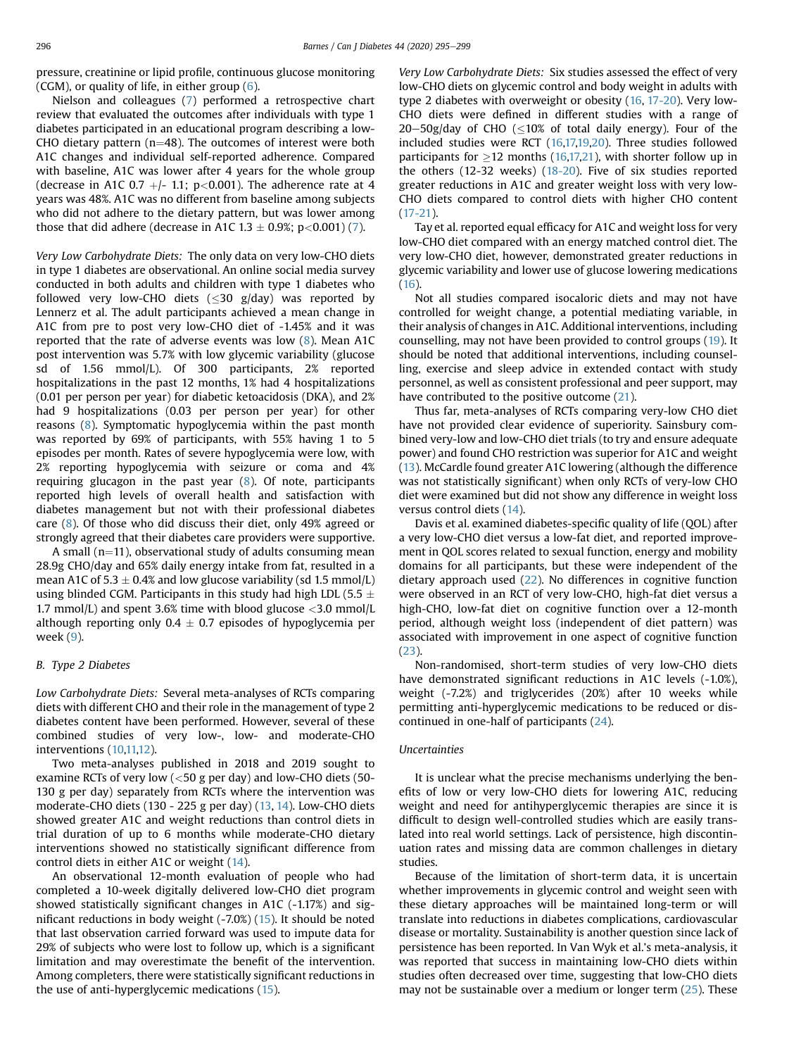pressure, creatinine or lipid profile, continuous glucose monitoring (CGM), or quality of life, in either group [\(6\)](#page-3-5).

Nielson and colleagues ([7\)](#page-3-6) performed a retrospective chart review that evaluated the outcomes after individuals with type 1 diabetes participated in an educational program describing a low-CHO dietary pattern ( $n=48$ ). The outcomes of interest were both A1C changes and individual self-reported adherence. Compared with baseline, A1C was lower after 4 years for the whole group (decrease in A1C 0.7  $+/-$  1.1; p<0.001). The adherence rate at 4 years was 48%. A1C was no different from baseline among subjects who did not adhere to the dietary pattern, but was lower among those that did adhere (decrease in A1C 1.3  $\pm$  0.9%; p<0.001) [\(7](#page-3-6)).

Very Low Carbohydrate Diets: The only data on very low-CHO diets in type 1 diabetes are observational. An online social media survey conducted in both adults and children with type 1 diabetes who followed very low-CHO diets ( $\leq$ 30 g/day) was reported by Lennerz et al. The adult participants achieved a mean change in A1C from pre to post very low-CHO diet of -1.45% and it was reported that the rate of adverse events was low [\(8](#page-3-7)). Mean A1C post intervention was 5.7% with low glycemic variability (glucose sd of 1.56 mmol/L). Of 300 participants, 2% reported hospitalizations in the past 12 months, 1% had 4 hospitalizations (0.01 per person per year) for diabetic ketoacidosis (DKA), and 2% had 9 hospitalizations (0.03 per person per year) for other reasons ([8\)](#page-3-7). Symptomatic hypoglycemia within the past month was reported by 69% of participants, with 55% having 1 to 5 episodes per month. Rates of severe hypoglycemia were low, with 2% reporting hypoglycemia with seizure or coma and 4% requiring glucagon in the past year ([8\)](#page-3-7). Of note, participants reported high levels of overall health and satisfaction with diabetes management but not with their professional diabetes care ([8\)](#page-3-7). Of those who did discuss their diet, only 49% agreed or strongly agreed that their diabetes care providers were supportive.

A small ( $n=11$ ), observational study of adults consuming mean 28.9g CHO/day and 65% daily energy intake from fat, resulted in a mean A1C of 5.3  $\pm$  0.4% and low glucose variability (sd 1.5 mmol/L) using blinded CGM. Participants in this study had high LDL (5.5  $\pm$ 1.7 mmol/L) and spent 3.6% time with blood glucose  $\langle 3.0 \text{ mmol/L} \rangle$ although reporting only 0.4  $\pm$  0.7 episodes of hypoglycemia per week ([9](#page-3-8)).

## B. Type 2 Diabetes

Low Carbohydrate Diets: Several meta-analyses of RCTs comparing diets with different CHO and their role in the management of type 2 diabetes content have been performed. However, several of these combined studies of very low-, low- and moderate-CHO interventions ([10,](#page-3-9)[11,](#page-3-10)[12](#page-3-11)).

Two meta-analyses published in 2018 and 2019 sought to examine RCTs of very low  $(<$  50 g per day) and low-CHO diets (50-130 g per day) separately from RCTs where the intervention was moderate-CHO diets (130 - 225 g per day) [\(13](#page-3-12), [14\)](#page-3-13). Low-CHO diets showed greater A1C and weight reductions than control diets in trial duration of up to 6 months while moderate-CHO dietary interventions showed no statistically significant difference from control diets in either A1C or weight ([14\)](#page-3-13).

An observational 12-month evaluation of people who had completed a 10-week digitally delivered low-CHO diet program showed statistically significant changes in A1C (-1.17%) and significant reductions in body weight (-7.0%) ([15\)](#page-3-14). It should be noted that last observation carried forward was used to impute data for 29% of subjects who were lost to follow up, which is a significant limitation and may overestimate the benefit of the intervention. Among completers, there were statistically significant reductions in the use of anti-hyperglycemic medications ([15\)](#page-3-14).

Very Low Carbohydrate Diets: Six studies assessed the effect of very low-CHO diets on glycemic control and body weight in adults with type 2 diabetes with overweight or obesity ([16,](#page-3-15) [17-20\)](#page-3-16). Very low-CHO diets were defined in different studies with a range of  $20-50$ g/day of CHO ( $\leq$ 10% of total daily energy). Four of the included studies were RCT [\(16](#page-3-15)[,17,](#page-3-16)[19,](#page-3-17)[20](#page-3-18)). Three studies followed participants for  $>12$  months [\(16](#page-3-15)[,17,](#page-3-16)[21\)](#page-3-19), with shorter follow up in the others (12-32 weeks) [\(18-20\)](#page-3-20). Five of six studies reported greater reductions in A1C and greater weight loss with very low-CHO diets compared to control diets with higher CHO content ([17-21](#page-3-16)).

Tay et al. reported equal efficacy for A1C and weight loss for very low-CHO diet compared with an energy matched control diet. The very low-CHO diet, however, demonstrated greater reductions in glycemic variability and lower use of glucose lowering medications ([16\)](#page-3-15).

Not all studies compared isocaloric diets and may not have controlled for weight change, a potential mediating variable, in their analysis of changes in A1C. Additional interventions, including counselling, may not have been provided to control groups [\(19](#page-3-17)). It should be noted that additional interventions, including counselling, exercise and sleep advice in extended contact with study personnel, as well as consistent professional and peer support, may have contributed to the positive outcome [\(21](#page-3-19)).

Thus far, meta-analyses of RCTs comparing very-low CHO diet have not provided clear evidence of superiority. Sainsbury combined very-low and low-CHO diet trials (to try and ensure adequate power) and found CHO restriction was superior for A1C and weight ([13\)](#page-3-12). McCardle found greater A1C lowering (although the difference was not statistically significant) when only RCTs of very-low CHO diet were examined but did not show any difference in weight loss versus control diets ([14\)](#page-3-13).

Davis et al. examined diabetes-specific quality of life (QOL) after a very low-CHO diet versus a low-fat diet, and reported improvement in QOL scores related to sexual function, energy and mobility domains for all participants, but these were independent of the dietary approach used [\(22\)](#page-3-21). No differences in cognitive function were observed in an RCT of very low-CHO, high-fat diet versus a high-CHO, low-fat diet on cognitive function over a 12-month period, although weight loss (independent of diet pattern) was associated with improvement in one aspect of cognitive function ([23](#page-3-22)).

Non-randomised, short-term studies of very low-CHO diets have demonstrated significant reductions in A1C levels (-1.0%), weight (-7.2%) and triglycerides (20%) after 10 weeks while permitting anti-hyperglycemic medications to be reduced or discontinued in one-half of participants ([24](#page-3-23)).

#### Uncertainties

It is unclear what the precise mechanisms underlying the benefits of low or very low-CHO diets for lowering A1C, reducing weight and need for antihyperglycemic therapies are since it is difficult to design well-controlled studies which are easily translated into real world settings. Lack of persistence, high discontinuation rates and missing data are common challenges in dietary studies.

Because of the limitation of short-term data, it is uncertain whether improvements in glycemic control and weight seen with these dietary approaches will be maintained long-term or will translate into reductions in diabetes complications, cardiovascular disease or mortality. Sustainability is another question since lack of persistence has been reported. In Van Wyk et al.'s meta-analysis, it was reported that success in maintaining low-CHO diets within studies often decreased over time, suggesting that low-CHO diets may not be sustainable over a medium or longer term [\(25\)](#page-3-24). These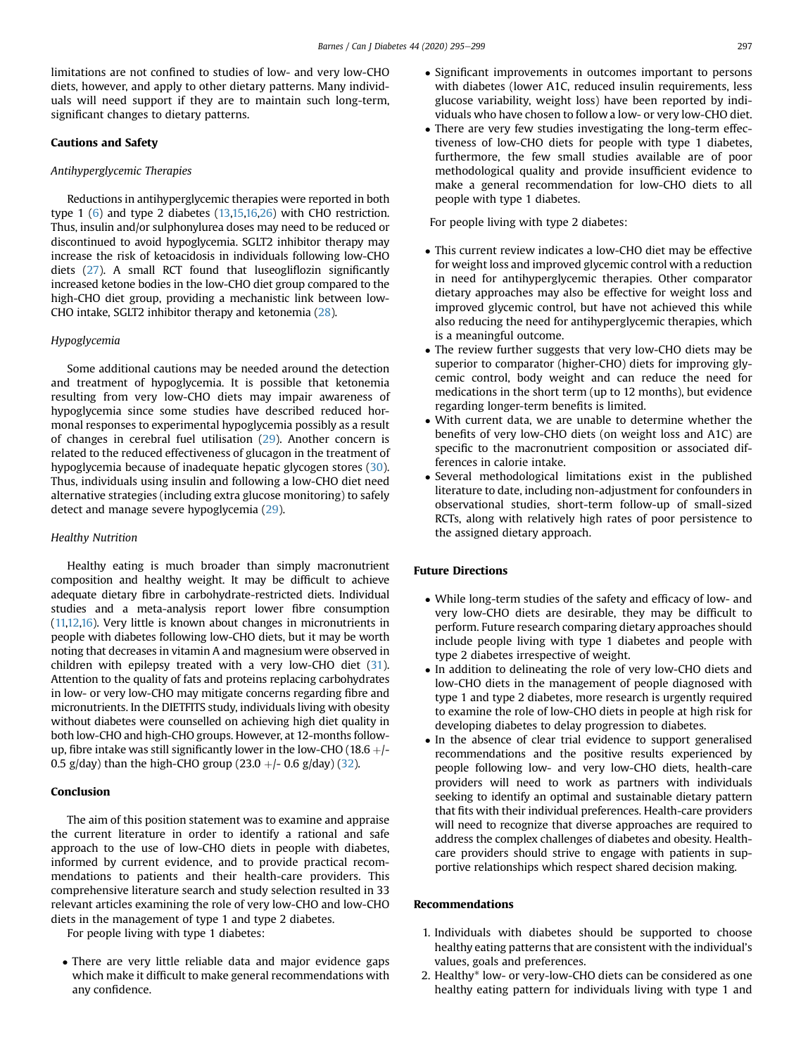limitations are not confined to studies of low- and very low-CHO diets, however, and apply to other dietary patterns. Many individuals will need support if they are to maintain such long-term, significant changes to dietary patterns.

## Cautions and Safety

#### Antihyperglycemic Therapies

Reductions in antihyperglycemic therapies were reported in both type 1 ([6](#page-3-5)) and type 2 diabetes [\(13,](#page-3-12)[15,](#page-3-14)[16,](#page-3-15)[26\)](#page-3-25) with CHO restriction. Thus, insulin and/or sulphonylurea doses may need to be reduced or discontinued to avoid hypoglycemia. SGLT2 inhibitor therapy may increase the risk of ketoacidosis in individuals following low-CHO diets [\(27\)](#page-3-26). A small RCT found that luseogliflozin significantly increased ketone bodies in the low-CHO diet group compared to the high-CHO diet group, providing a mechanistic link between low-CHO intake, SGLT2 inhibitor therapy and ketonemia [\(28](#page-4-0)).

#### Hypoglycemia

Some additional cautions may be needed around the detection and treatment of hypoglycemia. It is possible that ketonemia resulting from very low-CHO diets may impair awareness of hypoglycemia since some studies have described reduced hormonal responses to experimental hypoglycemia possibly as a result of changes in cerebral fuel utilisation ([29](#page-4-1)). Another concern is related to the reduced effectiveness of glucagon in the treatment of hypoglycemia because of inadequate hepatic glycogen stores ([30\)](#page-4-2). Thus, individuals using insulin and following a low-CHO diet need alternative strategies (including extra glucose monitoring) to safely detect and manage severe hypoglycemia [\(29\)](#page-4-1).

#### Healthy Nutrition

Healthy eating is much broader than simply macronutrient composition and healthy weight. It may be difficult to achieve adequate dietary fibre in carbohydrate-restricted diets. Individual studies and a meta-analysis report lower fibre consumption ([11,](#page-3-10)[12,](#page-3-11)[16\)](#page-3-15). Very little is known about changes in micronutrients in people with diabetes following low-CHO diets, but it may be worth noting that decreases in vitamin A and magnesium were observed in children with epilepsy treated with a very low-CHO diet [\(31](#page-4-3)). Attention to the quality of fats and proteins replacing carbohydrates in low- or very low-CHO may mitigate concerns regarding fibre and micronutrients. In the DIETFITS study, individuals living with obesity without diabetes were counselled on achieving high diet quality in both low-CHO and high-CHO groups. However, at 12-months followup, fibre intake was still significantly lower in the low-CHO (18.6  $+$ /-0.5 g/day) than the high-CHO group  $(23.0 + 0.6$  g/day)  $(32)$  $(32)$ .

## Conclusion

The aim of this position statement was to examine and appraise the current literature in order to identify a rational and safe approach to the use of low-CHO diets in people with diabetes, informed by current evidence, and to provide practical recommendations to patients and their health-care providers. This comprehensive literature search and study selection resulted in 33 relevant articles examining the role of very low-CHO and low-CHO diets in the management of type 1 and type 2 diabetes.

For people living with type 1 diabetes:

 There are very little reliable data and major evidence gaps which make it difficult to make general recommendations with any confidence.

- Significant improvements in outcomes important to persons with diabetes (lower A1C, reduced insulin requirements, less glucose variability, weight loss) have been reported by individuals who have chosen to follow a low- or very low-CHO diet.
- There are very few studies investigating the long-term effectiveness of low-CHO diets for people with type 1 diabetes, furthermore, the few small studies available are of poor methodological quality and provide insufficient evidence to make a general recommendation for low-CHO diets to all people with type 1 diabetes.

For people living with type 2 diabetes:

- This current review indicates a low-CHO diet may be effective for weight loss and improved glycemic control with a reduction in need for antihyperglycemic therapies. Other comparator dietary approaches may also be effective for weight loss and improved glycemic control, but have not achieved this while also reducing the need for antihyperglycemic therapies, which is a meaningful outcome.
- The review further suggests that very low-CHO diets may be superior to comparator (higher-CHO) diets for improving glycemic control, body weight and can reduce the need for medications in the short term (up to 12 months), but evidence regarding longer-term benefits is limited.
- With current data, we are unable to determine whether the benefits of very low-CHO diets (on weight loss and A1C) are specific to the macronutrient composition or associated differences in calorie intake.
- Several methodological limitations exist in the published literature to date, including non-adjustment for confounders in observational studies, short-term follow-up of small-sized RCTs, along with relatively high rates of poor persistence to the assigned dietary approach.

## Future Directions

- While long-term studies of the safety and efficacy of low- and very low-CHO diets are desirable, they may be difficult to perform. Future research comparing dietary approaches should include people living with type 1 diabetes and people with type 2 diabetes irrespective of weight.
- In addition to delineating the role of very low-CHO diets and low-CHO diets in the management of people diagnosed with type 1 and type 2 diabetes, more research is urgently required to examine the role of low-CHO diets in people at high risk for developing diabetes to delay progression to diabetes.
- In the absence of clear trial evidence to support generalised recommendations and the positive results experienced by people following low- and very low-CHO diets, health-care providers will need to work as partners with individuals seeking to identify an optimal and sustainable dietary pattern that fits with their individual preferences. Health-care providers will need to recognize that diverse approaches are required to address the complex challenges of diabetes and obesity. Healthcare providers should strive to engage with patients in supportive relationships which respect shared decision making.

## Recommendations

- 1. Individuals with diabetes should be supported to choose healthy eating patterns that are consistent with the individual's values, goals and preferences.
- 2. Healthy\* low- or very-low-CHO diets can be considered as one healthy eating pattern for individuals living with type 1 and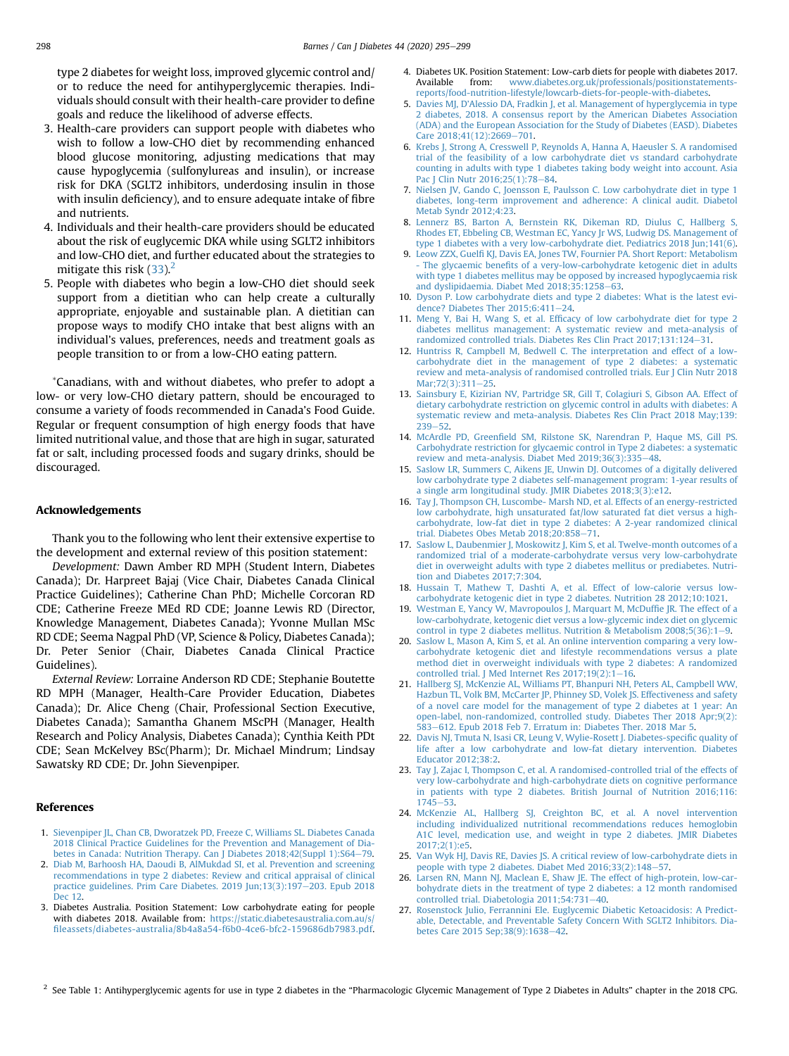type 2 diabetes for weight loss, improved glycemic control and/ or to reduce the need for antihyperglycemic therapies. Individuals should consult with their health-care provider to define goals and reduce the likelihood of adverse effects.

- 3. Health-care providers can support people with diabetes who wish to follow a low-CHO diet by recommending enhanced blood glucose monitoring, adjusting medications that may cause hypoglycemia (sulfonylureas and insulin), or increase risk for DKA (SGLT2 inhibitors, underdosing insulin in those with insulin deficiency), and to ensure adequate intake of fibre and nutrients.
- 4. Individuals and their health-care providers should be educated about the risk of euglycemic DKA while using SGLT2 inhibitors and low-CHO diet, and further educated about the strategies to mitigate this risk  $(33)$ .<sup>[2](#page-3-27)</sup>
- 5. People with diabetes who begin a low-CHO diet should seek support from a dietitian who can help create a culturally appropriate, enjoyable and sustainable plan. A dietitian can propose ways to modify CHO intake that best aligns with an individual's values, preferences, needs and treatment goals as people transition to or from a low-CHO eating pattern.

\*Canadians, with and without diabetes, who prefer to adopt a low- or very low-CHO dietary pattern, should be encouraged to consume a variety of foods recommended in Canada's Food Guide. Regular or frequent consumption of high energy foods that have limited nutritional value, and those that are high in sugar, saturated fat or salt, including processed foods and sugary drinks, should be discouraged.

#### Acknowledgements

Thank you to the following who lent their extensive expertise to the development and external review of this position statement:

Development: Dawn Amber RD MPH (Student Intern, Diabetes Canada); Dr. Harpreet Bajaj (Vice Chair, Diabetes Canada Clinical Practice Guidelines); Catherine Chan PhD; Michelle Corcoran RD CDE; Catherine Freeze MEd RD CDE; Joanne Lewis RD (Director, Knowledge Management, Diabetes Canada); Yvonne Mullan MSc RD CDE; Seema Nagpal PhD (VP, Science & Policy, Diabetes Canada); Dr. Peter Senior (Chair, Diabetes Canada Clinical Practice Guidelines).

External Review: Lorraine Anderson RD CDE; Stephanie Boutette RD MPH (Manager, Health-Care Provider Education, Diabetes Canada); Dr. Alice Cheng (Chair, Professional Section Executive, Diabetes Canada); Samantha Ghanem MScPH (Manager, Health Research and Policy Analysis, Diabetes Canada); Cynthia Keith PDt CDE; Sean McKelvey BSc(Pharm); Dr. Michael Mindrum; Lindsay Sawatsky RD CDE; Dr. John Sievenpiper.

#### <span id="page-3-0"></span>References

- <span id="page-3-1"></span>1. [Sievenpiper JL, Chan CB, Dworatzek PD, Freeze C, Williams SL. Diabetes Canada](http://refhub.elsevier.com/S1499-2671(20)30097-6/sref1) [2018 Clinical Practice Guidelines for the Prevention and Management of Dia](http://refhub.elsevier.com/S1499-2671(20)30097-6/sref1)[betes in Canada: Nutrition Therapy. Can J Diabetes 2018;42\(Suppl 1\):S64](http://refhub.elsevier.com/S1499-2671(20)30097-6/sref1)-[79.](http://refhub.elsevier.com/S1499-2671(20)30097-6/sref1)
- <span id="page-3-2"></span>2. [Diab M, Barhoosh HA, Daoudi B, AlMukdad SI, et al. Prevention and screening](http://refhub.elsevier.com/S1499-2671(20)30097-6/sref2) [recommendations in type 2 diabetes: Review and critical appraisal of clinical](http://refhub.elsevier.com/S1499-2671(20)30097-6/sref2) [practice guidelines. Prim Care Diabetes. 2019 Jun;13\(3\):197](http://refhub.elsevier.com/S1499-2671(20)30097-6/sref2)-[203. Epub 2018](http://refhub.elsevier.com/S1499-2671(20)30097-6/sref2) [Dec 12.](http://refhub.elsevier.com/S1499-2671(20)30097-6/sref2)
- 3. Diabetes Australia. Position Statement: Low carbohydrate eating for people with diabetes 2018. Available from: [https://static.diabetesaustralia.com.au/s/](https://static.diabetesaustralia.com.au/s/fileassets/diabetes-australia/8b4a8a54-f6b0-4ce6-bfc2-159686db7983.pdf) fi[leassets/diabetes-australia/8b4a8a54-f6b0-4ce6-bfc2-159686db7983.pdf](https://static.diabetesaustralia.com.au/s/fileassets/diabetes-australia/8b4a8a54-f6b0-4ce6-bfc2-159686db7983.pdf).
- <span id="page-3-3"></span>4. Diabetes UK. Position Statement: Low-carb diets for people with diabetes 2017. Available from: [www.diabetes.org.uk/professionals/positionstatements](http://www.diabetes.org.uk/professionals/positionstatements-reports/food-nutrition-lifestyle/lowcarb-diets-for-people-with-diabetes)[reports/food-nutrition-lifestyle/lowcarb-diets-for-people-with-diabetes](http://www.diabetes.org.uk/professionals/positionstatements-reports/food-nutrition-lifestyle/lowcarb-diets-for-people-with-diabetes).
- <span id="page-3-4"></span>5. Davies MJ, D'[Alessio DA, Fradkin J, et al. Management of hyperglycemia in type](http://refhub.elsevier.com/S1499-2671(20)30097-6/sref5) [2 diabetes, 2018. A consensus report by the American Diabetes Association](http://refhub.elsevier.com/S1499-2671(20)30097-6/sref5) [\(ADA\) and the European Association for the Study of Diabetes \(EASD\). Diabetes](http://refhub.elsevier.com/S1499-2671(20)30097-6/sref5) [Care 2018;41\(12\):2669](http://refhub.elsevier.com/S1499-2671(20)30097-6/sref5)-[701.](http://refhub.elsevier.com/S1499-2671(20)30097-6/sref5)
- <span id="page-3-5"></span>6. [Krebs J, Strong A, Cresswell P, Reynolds A, Hanna A, Haeusler S. A randomised](http://refhub.elsevier.com/S1499-2671(20)30097-6/sref6) [trial of the feasibility of a low carbohydrate diet vs standard carbohydrate](http://refhub.elsevier.com/S1499-2671(20)30097-6/sref6) [counting in adults with type 1 diabetes taking body weight into account. Asia](http://refhub.elsevier.com/S1499-2671(20)30097-6/sref6) [Pac J Clin Nutr 2016;25\(1\):78](http://refhub.elsevier.com/S1499-2671(20)30097-6/sref6)-[84](http://refhub.elsevier.com/S1499-2671(20)30097-6/sref6).
- <span id="page-3-6"></span>7. [Nielsen JV, Gando C, Joensson E, Paulsson C. Low carbohydrate diet in type 1](http://refhub.elsevier.com/S1499-2671(20)30097-6/sref7) [diabetes, long-term improvement and adherence: A clinical audit. Diabetol](http://refhub.elsevier.com/S1499-2671(20)30097-6/sref7) [Metab Syndr 2012;4:23](http://refhub.elsevier.com/S1499-2671(20)30097-6/sref7).
- <span id="page-3-7"></span>8. [Lennerz BS, Barton A, Bernstein RK, Dikeman RD, Diulus C, Hallberg S,](http://refhub.elsevier.com/S1499-2671(20)30097-6/sref8) [Rhodes ET, Ebbeling CB, Westman EC, Yancy Jr WS, Ludwig DS. Management of](http://refhub.elsevier.com/S1499-2671(20)30097-6/sref8) [type 1 diabetes with a very low-carbohydrate diet. Pediatrics 2018 Jun;141\(6\)](http://refhub.elsevier.com/S1499-2671(20)30097-6/sref8).
- <span id="page-3-8"></span>9. Leow ZZX, Guelfi [KJ, Davis EA, Jones TW, Fournier PA. Short Report: Metabolism](http://refhub.elsevier.com/S1499-2671(20)30097-6/sref9) - The glycaemic benefi[ts of a very-low-carbohydrate ketogenic diet in adults](http://refhub.elsevier.com/S1499-2671(20)30097-6/sref9) [with type 1 diabetes mellitus may be opposed by increased hypoglycaemia risk](http://refhub.elsevier.com/S1499-2671(20)30097-6/sref9) and dyslipidaemia. Diabet Med  $2018;35:1258-63$ .
- <span id="page-3-9"></span>10. [Dyson P. Low carbohydrate diets and type 2 diabetes: What is the latest evi](http://refhub.elsevier.com/S1499-2671(20)30097-6/sref10)dence? Diabetes Ther  $2015;6:411-24$  $2015;6:411-24$ .
- <span id="page-3-10"></span>11. Meng Y, Bai H, Wang S, et al. Effi[cacy of low carbohydrate diet for type 2](http://refhub.elsevier.com/S1499-2671(20)30097-6/sref11) [diabetes mellitus management: A systematic review and meta-analysis of](http://refhub.elsevier.com/S1499-2671(20)30097-6/sref11) [randomized controlled trials. Diabetes Res Clin Pract 2017;131:124](http://refhub.elsevier.com/S1499-2671(20)30097-6/sref11)-[31](http://refhub.elsevier.com/S1499-2671(20)30097-6/sref11).
- <span id="page-3-11"></span>12. [Huntriss R, Campbell M, Bedwell C. The interpretation and effect of a low](http://refhub.elsevier.com/S1499-2671(20)30097-6/sref12)[carbohydrate diet in the management of type 2 diabetes: a systematic](http://refhub.elsevier.com/S1499-2671(20)30097-6/sref12) [review and meta-analysis of randomised controlled trials. Eur J Clin Nutr 2018](http://refhub.elsevier.com/S1499-2671(20)30097-6/sref12) Mar: 72(3): 311-[25.](http://refhub.elsevier.com/S1499-2671(20)30097-6/sref12)
- <span id="page-3-12"></span>13. [Sainsbury E, Kizirian NV, Partridge SR, Gill T, Colagiuri S, Gibson AA. Effect of](http://refhub.elsevier.com/S1499-2671(20)30097-6/sref13) [dietary carbohydrate restriction on glycemic control in adults with diabetes: A](http://refhub.elsevier.com/S1499-2671(20)30097-6/sref13) [systematic review and meta-analysis. Diabetes Res Clin Pract 2018 May;139:](http://refhub.elsevier.com/S1499-2671(20)30097-6/sref13)  $239 - 52$  $239 - 52$ .
- <span id="page-3-13"></span>14. McArdle PD, Greenfi[eld SM, Rilstone SK, Narendran P, Haque MS, Gill PS.](http://refhub.elsevier.com/S1499-2671(20)30097-6/sref14) [Carbohydrate restriction for glycaemic control in Type 2 diabetes: a systematic](http://refhub.elsevier.com/S1499-2671(20)30097-6/sref14) [review and meta-analysis. Diabet Med 2019;36\(3\):335](http://refhub.elsevier.com/S1499-2671(20)30097-6/sref14)-[48.](http://refhub.elsevier.com/S1499-2671(20)30097-6/sref14)
- <span id="page-3-14"></span>15. [Saslow LR, Summers C, Aikens JE, Unwin DJ. Outcomes of a digitally delivered](http://refhub.elsevier.com/S1499-2671(20)30097-6/sref15) [low carbohydrate type 2 diabetes self-management program: 1-year results of](http://refhub.elsevier.com/S1499-2671(20)30097-6/sref15) [a single arm longitudinal study. JMIR Diabetes 2018;3\(3\):e12](http://refhub.elsevier.com/S1499-2671(20)30097-6/sref15).
- <span id="page-3-15"></span>16. [Tay J, Thompson CH, Luscombe- Marsh ND, et al. Effects of an energy-restricted](http://refhub.elsevier.com/S1499-2671(20)30097-6/sref16) [low carbohydrate, high unsaturated fat/low saturated fat diet versus a high](http://refhub.elsevier.com/S1499-2671(20)30097-6/sref16)[carbohydrate, low-fat diet in type 2 diabetes: A 2-year randomized clinical](http://refhub.elsevier.com/S1499-2671(20)30097-6/sref16) [trial. Diabetes Obes Metab 2018;20:858](http://refhub.elsevier.com/S1499-2671(20)30097-6/sref16)-[71](http://refhub.elsevier.com/S1499-2671(20)30097-6/sref16).
- <span id="page-3-16"></span>17. [Saslow L, Daubenmier J, Moskowitz J, Kim S, et al. Twelve-month outcomes of a](http://refhub.elsevier.com/S1499-2671(20)30097-6/sref17) [randomized trial of a moderate-carbohydrate versus very low-carbohydrate](http://refhub.elsevier.com/S1499-2671(20)30097-6/sref17) [diet in overweight adults with type 2 diabetes mellitus or prediabetes. Nutri](http://refhub.elsevier.com/S1499-2671(20)30097-6/sref17)[tion and Diabetes 2017;7:304.](http://refhub.elsevier.com/S1499-2671(20)30097-6/sref17)
- <span id="page-3-20"></span>18. [Hussain T, Mathew T, Dashti A, et al. Effect of low-calorie versus low](http://refhub.elsevier.com/S1499-2671(20)30097-6/sref18)[carbohydrate ketogenic diet in type 2 diabetes. Nutrition 28 2012;10:1021](http://refhub.elsevier.com/S1499-2671(20)30097-6/sref18).
- <span id="page-3-17"></span>19. [Westman E, Yancy W, Mavropoulos J, Marquart M, McDuf](http://refhub.elsevier.com/S1499-2671(20)30097-6/sref19)fie JR. The effect of a [low-carbohydrate, ketogenic diet versus a low-glycemic index diet on glycemic](http://refhub.elsevier.com/S1499-2671(20)30097-6/sref19) control in type 2 diabetes mellitus. Nutrition & Metabolism  $2008;5(36):1-9$ .
- <span id="page-3-18"></span>20. [Saslow L, Mason A, Kim S, et al. An online intervention comparing a very low](http://refhub.elsevier.com/S1499-2671(20)30097-6/sref20)[carbohydrate ketogenic diet and lifestyle recommendations versus a plate](http://refhub.elsevier.com/S1499-2671(20)30097-6/sref20) [method diet in overweight individuals with type 2 diabetes: A randomized](http://refhub.elsevier.com/S1499-2671(20)30097-6/sref20) controlled trial. J Med Internet Res  $2017;19(2):1-16$ .
- <span id="page-3-19"></span>21. [Hallberg SJ, McKenzie AL, Williams PT, Bhanpuri NH, Peters AL, Campbell WW,](http://refhub.elsevier.com/S1499-2671(20)30097-6/sref21) [Hazbun TL, Volk BM, McCarter JP, Phinney SD, Volek JS. Effectiveness and safety](http://refhub.elsevier.com/S1499-2671(20)30097-6/sref21) [of a novel care model for the management of type 2 diabetes at 1 year: An](http://refhub.elsevier.com/S1499-2671(20)30097-6/sref21) [open-label, non-randomized, controlled study. Diabetes Ther 2018 Apr;9\(2\):](http://refhub.elsevier.com/S1499-2671(20)30097-6/sref21) [583](http://refhub.elsevier.com/S1499-2671(20)30097-6/sref21)-[612. Epub 2018 Feb 7. Erratum in: Diabetes Ther. 2018 Mar 5.](http://refhub.elsevier.com/S1499-2671(20)30097-6/sref21)
- <span id="page-3-21"></span>22. [Davis NJ, Tmuta N, Isasi CR, Leung V, Wylie-Rosett J. Diabetes-speci](http://refhub.elsevier.com/S1499-2671(20)30097-6/sref22)fic quality of [life after a low carbohydrate and low-fat dietary intervention. Diabetes](http://refhub.elsevier.com/S1499-2671(20)30097-6/sref22) [Educator 2012;38:2](http://refhub.elsevier.com/S1499-2671(20)30097-6/sref22).
- <span id="page-3-22"></span>23. [Tay J, Zajac I, Thompson C, et al. A randomised-controlled trial of the effects of](http://refhub.elsevier.com/S1499-2671(20)30097-6/sref23) [very low-carbohydrate and high-carbohydrate diets on cognitive performance](http://refhub.elsevier.com/S1499-2671(20)30097-6/sref23) [in patients with type 2 diabetes. British Journal of Nutrition 2016;116:](http://refhub.elsevier.com/S1499-2671(20)30097-6/sref23)  $1745 - 53$  $1745 - 53$ .
- <span id="page-3-23"></span>24. [McKenzie AL, Hallberg SJ, Creighton BC, et al. A novel intervention](http://refhub.elsevier.com/S1499-2671(20)30097-6/sref24) [including individualized nutritional recommendations reduces hemoglobin](http://refhub.elsevier.com/S1499-2671(20)30097-6/sref24) [A1C level, medication use, and weight in type 2 diabetes. JMIR Diabetes](http://refhub.elsevier.com/S1499-2671(20)30097-6/sref24) [2017;2\(1\):e5](http://refhub.elsevier.com/S1499-2671(20)30097-6/sref24).
- <span id="page-3-24"></span>25. [Van Wyk HJ, Davis RE, Davies JS. A critical review of low-carbohydrate diets in](http://refhub.elsevier.com/S1499-2671(20)30097-6/sref25) people with type 2 diabetes. Diabet Med  $2016;33(2):148-57$  $2016;33(2):148-57$ .
- <span id="page-3-25"></span>26. [Larsen RN, Mann NJ, Maclean E, Shaw JE. The effect of high-protein, low-car](http://refhub.elsevier.com/S1499-2671(20)30097-6/sref26)[bohydrate diets in the treatment of type 2 diabetes: a 12 month randomised](http://refhub.elsevier.com/S1499-2671(20)30097-6/sref26)  $controlled trial. Diabetologia 2011;54:731–40.$  $controlled trial. Diabetologia 2011;54:731–40.$  $controlled trial. Diabetologia 2011;54:731–40.$
- <span id="page-3-26"></span>27. [Rosenstock Julio, Ferrannini Ele. Euglycemic Diabetic Ketoacidosis: A Predict](http://refhub.elsevier.com/S1499-2671(20)30097-6/sref27)[able, Detectable, and Preventable Safety Concern With SGLT2 Inhibitors. Dia](http://refhub.elsevier.com/S1499-2671(20)30097-6/sref27)[betes Care 2015 Sep;38\(9\):1638](http://refhub.elsevier.com/S1499-2671(20)30097-6/sref27)-[42.](http://refhub.elsevier.com/S1499-2671(20)30097-6/sref27)

<span id="page-3-27"></span><sup>2</sup> See Table 1: Antihyperglycemic agents for use in type 2 diabetes in the "Pharmacologic Glycemic Management of Type 2 Diabetes in Adults" chapter in the 2018 CPG.